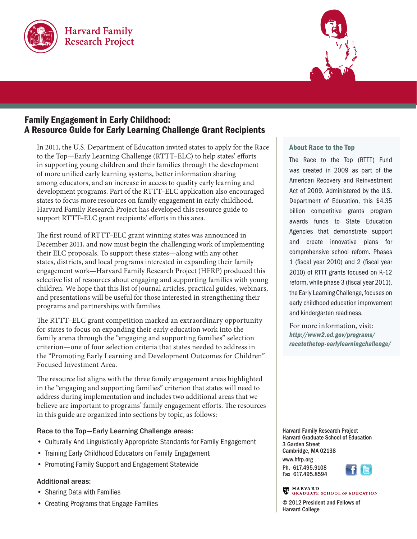



# Family Engagement in Early Childhood: A Resource Guide for Early Learning Challenge Grant Recipients

In 2011, the U.S. Department of Education invited states to apply for the Race to the Top—Early Learning Challenge (RTTT–ELC) to help states' efforts in supporting young children and their families through the development of more unified early learning systems, better information sharing among educators, and an increase in access to quality early learning and development programs. Part of the RTTT–ELC application also encouraged states to focus more resources on family engagement in early childhood. Harvard Family Research Project has developed this resource guide to support RTTT–ELC grant recipients' efforts in this area.

The first round of RTTT–ELC grant winning states was announced in December 2011, and now must begin the challenging work of implementing their ELC proposals. To support these states—along with any other states, districts, and local programs interested in expanding their family engagement work—Harvard Family Research Project (HFRP) produced this selective list of resources about engaging and supporting families with young children. We hope that this list of journal articles, practical guides, webinars, and presentations will be useful for those interested in strengthening their programs and partnerships with families.

The RTTT–ELC grant competition marked an extraordinary opportunity for states to focus on expanding their early education work into the family arena through the "engaging and supporting families" selection criterion—one of four selection criteria that states needed to address in the "Promoting Early Learning and Development Outcomes for Children" Focused Investment Area.

The resource list aligns with the three family engagement areas highlighted in the "engaging and supporting families" criterion that states will need to address during implementation and includes two additional areas that we believe are important to programs' family engagement efforts. The resources in this guide are organized into sections by topic, as follows:

# Race to the Top—Early Learning Challenge areas:

- Culturally And Linguistically Appropriate Standards for Family Engagement
- Training Early Childhood Educators on Family Engagement
- Promoting Family Support and Engagement Statewide

# Additional areas:

- Sharing Data with Families
- Creating Programs that Engage Families

#### About Race to the Top

The Race to the Top (RTTT) Fund was created in 2009 as part of the American Recovery and Reinvestment Act of 2009. Administered by the U.S. Department of Education, this \$4.35 billion competitive grants program awards funds to State Education Agencies that demonstrate support and create innovative plans for comprehensive school reform. Phases 1 (fiscal year 2010) and 2 (fiscal year 2010) of RTTT grants focused on K–12 reform, while phase 3 (fiscal year 2011), the Early Learning Challenge, focuses on early childhood education improvement and kindergarten readiness.

For more information, visit: *http://www2.ed.gov/programs/ racetothetop-earlylearningchallenge/*

Harvard Family Research Project Harvard Graduate School of Education 3 Garden Street Cambridge, MA 02138 www.hfrp.org Ph. 617.495.9108 Fax 617.495.8594



**ER** HARVARD **GRADUATE SCHOOL OF EDUCATION** 

© 2012 President and Fellows of Harvard College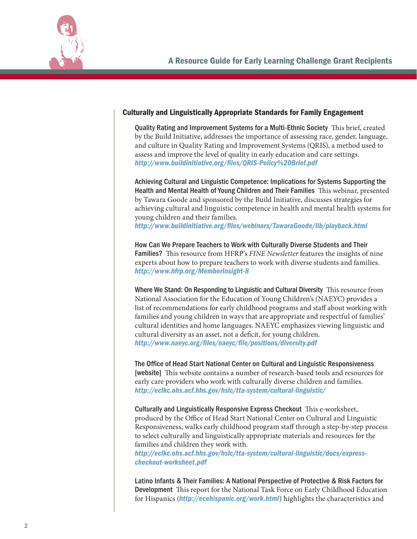

#### Culturally and Linguistically Appropriate Standards for Family Engagement

Quality Rating and Improvement Systems for a Multi-Ethnic Society This brief, created by the Build Initiative, addresses the importance of assessing race, gender, language, and culture in Quality Rating and Improvement Systems (QRIS), a method used to assess and improve the level of quality in early education and care settings. *http://www.buildinitiative.org/files/QRIS-Policy%20Brief.pdf*

Achieving Cultural and Linguistic Competence: Implications for Systems Supporting the Health and Mental Health of Young Children and Their Families This webinar, presented by Tawara Goode and sponsored by the Build Initiative, discusses strategies for achieving cultural and linguistic competence in health and mental health systems for young children and their families.

*http://www.buildinitiative.org/files/webinars/TawaraGoode/lib/playback.html*

How Can We Prepare Teachers to Work with Culturally Diverse Students and Their Families? This resource from HFRP's *FINE Newsletter* features the insights of nine experts about how to prepare teachers to work with diverse students and families. *http://www.hfrp.org/MemberInsight-8*

Where We Stand: On Responding to Linguistic and Cultural Diversity This resource from National Association for the Education of Young Children's (NAEYC) provides a list of recommendations for early childhood programs and staff about working with families and young children in ways that are appropriate and respectful of families' cultural identities and home languages. NAEYC emphasizes viewing linguistic and cultural diversity as an asset, not a deficit, for young children. *<http://www.naeyc.org/files/naeyc/file/positions/diversity.pdf>*

The Office of Head Start National Center on Cultural and Linguistic Responsiveness [website] This website contains a number of research-based tools and resources for early care providers who work with culturally diverse children and families. *http://eclkc.ohs.acf.hhs.gov/hslc/tta-system/cultural-linguistic/*

Culturally and Linguistically Responsive Express Checkout This e-worksheet, produced by the Office of Head Start National Center on Cultural and Linguistic Responsiveness, walks early childhood program staff through a step-by-step process to select culturally and linguistically appropriate materials and resources for the families and children they work with.

*http://eclkc.ohs.acf.hhs.gov/hslc/tta-system/cultural-linguistic/docs/expresscheckout-worksheet.pdf*

Latino Infants & Their Families: A National Perspective of Protective & Risk Factors for Development This report for the National Task Force on Early Childhood Education for Hispanics (*http://ecehispanic.org/work.html*) highlights the characteristics and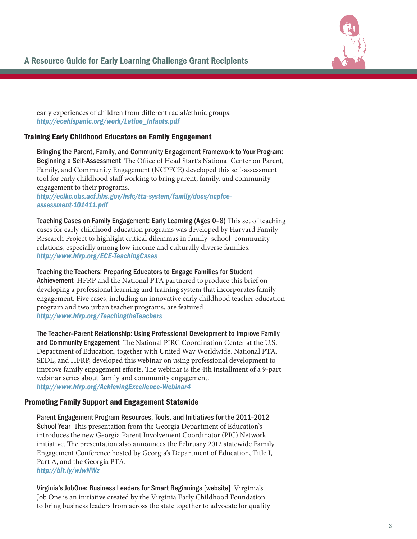

early experiences of children from different racial/ethnic groups. *http://ecehispanic.org/work/Latino\_Infants.pdf*

# Training Early Childhood Educators on Family Engagement

Bringing the Parent, Family, and Community Engagement Framework to Your Program: Beginning a Self-Assessment The Office of Head Start's National Center on Parent, Family, and Community Engagement (NCPFCE) developed this self-assessment tool for early childhood staff working to bring parent, family, and community engagement to their programs.

*http://eclkc.ohs.acf.hhs.gov/hslc/tta-system/family/docs/ncpfceassessment-101411.pdf*

Teaching Cases on Family Engagement: Early Learning (Ages 0–8) This set of teaching cases for early childhood education programs was developed by Harvard Family Research Project to highlight critical dilemmas in family–school–community relations, especially among low-income and culturally diverse families. *http://www.hfrp.org/ECE-TeachingCases*

Teaching the Teachers: Preparing Educators to Engage Families for Student Achievement HFRP and the National PTA partnered to produce this brief on developing a professional learning and training system that incorporates family engagement. Five cases, including an innovative early childhood teacher education program and two urban teacher programs, are featured. *http://www.hfrp.org/TeachingtheTeachers*

The Teacher–Parent Relationship: Using Professional Development to Improve Family and Community Engagement The National PIRC Coordination Center at the U.S. Department of Education, together with United Way Worldwide, National PTA, SEDL, and HFRP, developed this webinar on using professional development to improve family engagement efforts. The webinar is the 4th installment of a 9-part webinar series about family and community engagement. *<http://www.hfrp.org/AchievingExcellence-Webinar4>*

#### Promoting Family Support and Engagement Statewide

Parent Engagement Program Resources, Tools, and Initiatives for the 2011–2012 School Year This presentation from the Georgia Department of Education's introduces the new Georgia Parent Involvement Coordinator (PIC) Network initiative. The presentation also announces the February 2012 statewide Family Engagement Conference hosted by Georgia's Department of Education, Title I, Part A, and the Georgia PTA. *<http://bit.ly/wJwNWz>*

Virginia's JobOne: Business Leaders for Smart Beginnings [website] Virginia's Job One is an initiative created by the Virginia Early Childhood Foundation to bring business leaders from across the state together to advocate for quality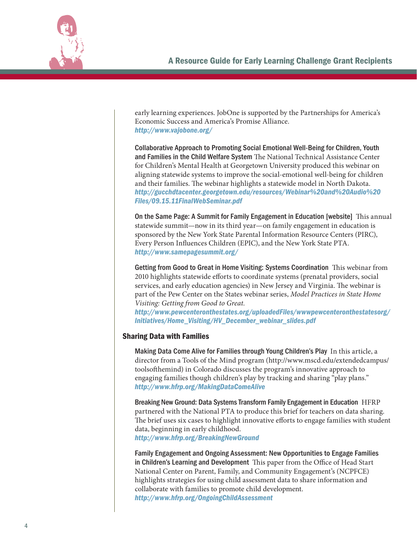

early learning experiences. JobOne is supported by the Partnerships for America's Economic Success and America's Promise Alliance. *http://www.vajobone.org/*

Collaborative Approach to Promoting Social Emotional Well-Being for Children, Youth and Families in the Child Welfare System The National Technical Assistance Center for Children's Mental Health at Georgetown University produced this webinar on aligning statewide systems to improve the social-emotional well-being for children and their families. The webinar highlights a statewide model in North Dakota. *http://gucchdtacenter.georgetown.edu/resources/Webinar%20and%20Audio%20 Files/09.15.11FinalWebSeminar.pdf*

On the Same Page: A Summit for Family Engagement in Education [website] This annual statewide summit—now in its third year—on family engagement in education is sponsored by the New York State Parental Information Resource Centers (PIRC), Every Person Influences Children (EPIC), and the New York State PTA. *http://www.samepagesummit.org/*

Getting from Good to Great in Home Visiting: Systems Coordination This webinar from 2010 highlights statewide efforts to coordinate systems (prenatal providers, social services, and early education agencies) in New Jersey and Virginia. The webinar is part of the Pew Center on the States webinar series, *Model Practices in State Home Visiting: Getting from Good to Great.*

*http://www.pewcenteronthestates.org/uploadedFiles/wwwpewcenteronthestatesorg/ Initiatives/Home\_Visiting/HV\_December\_webinar\_slides.pdf*

#### Sharing Data with Families

Making Data Come Alive for Families through Young Children's Play In this article, a director from a Tools of the Mind program (http://www.mscd.edu/extendedcampus/ toolsofthemind) in Colorado discusses the program's innovative approach to engaging families though children's play by tracking and sharing "play plans." *http://www.hfrp.org/MakingDataComeAlive*

Breaking New Ground: Data Systems Transform Family Engagement in Education HFRP partnered with the National PTA to produce this brief for teachers on data sharing. The brief uses six cases to highlight innovative efforts to engage families with student data, beginning in early childhood.

*<http://www.hfrp.org/BreakingNewGround>*

Family Engagement and Ongoing Assessment: New Opportunities to Engage Families in Children's Learning and Development This paper from the Office of Head Start National Center on Parent, Family, and Community Engagement's (NCPFCE) highlights strategies for using child assessment data to share information and collaborate with families to promote child development. *<http://www.hfrp.org/OngoingChildAssessment>*